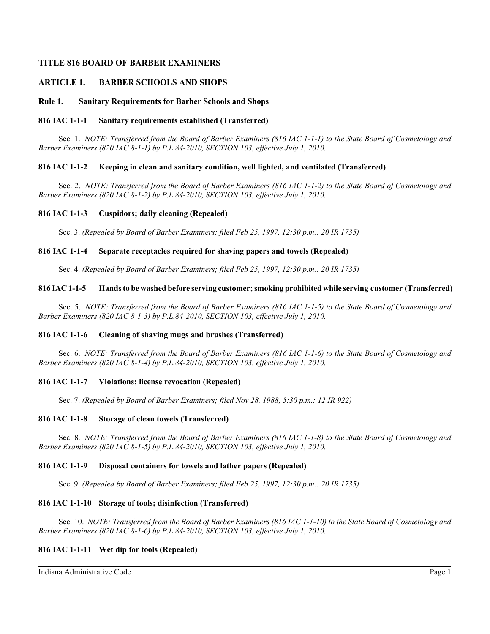## **TITLE 816 BOARD OF BARBER EXAMINERS**

## **ARTICLE 1. BARBER SCHOOLS AND SHOPS**

#### **Rule 1. Sanitary Requirements for Barber Schools and Shops**

#### **816 IAC 1-1-1 Sanitary requirements established (Transferred)**

Sec. 1. *NOTE: Transferred from the Board of Barber Examiners (816 IAC 1-1-1) to the State Board of Cosmetology and Barber Examiners (820 IAC 8-1-1) by P.L.84-2010, SECTION 103, effective July 1, 2010.*

### **816 IAC 1-1-2 Keeping in clean and sanitary condition, well lighted, and ventilated (Transferred)**

Sec. 2. *NOTE: Transferred from the Board of Barber Examiners (816 IAC 1-1-2) to the State Board of Cosmetology and Barber Examiners (820 IAC 8-1-2) by P.L.84-2010, SECTION 103, effective July 1, 2010.*

#### **816 IAC 1-1-3 Cuspidors; daily cleaning (Repealed)**

Sec. 3. *(Repealed by Board of Barber Examiners; filed Feb 25, 1997, 12:30 p.m.: 20 IR 1735)*

#### **816 IAC 1-1-4 Separate receptacles required for shaving papers and towels (Repealed)**

Sec. 4. *(Repealed by Board of Barber Examiners; filed Feb 25, 1997, 12:30 p.m.: 20 IR 1735)*

#### **816 IAC 1-1-5 Hands to be washed before serving customer; smoking prohibited while serving customer (Transferred)**

Sec. 5. *NOTE: Transferred from the Board of Barber Examiners (816 IAC 1-1-5) to the State Board of Cosmetology and Barber Examiners (820 IAC 8-1-3) by P.L.84-2010, SECTION 103, effective July 1, 2010.*

### **816 IAC 1-1-6 Cleaning of shaving mugs and brushes (Transferred)**

Sec. 6. *NOTE: Transferred from the Board of Barber Examiners (816 IAC 1-1-6) to the State Board of Cosmetology and Barber Examiners (820 IAC 8-1-4) by P.L.84-2010, SECTION 103, effective July 1, 2010.*

### **816 IAC 1-1-7 Violations; license revocation (Repealed)**

Sec. 7. *(Repealed by Board of Barber Examiners; filed Nov 28, 1988, 5:30 p.m.: 12 IR 922)*

### **816 IAC 1-1-8 Storage of clean towels (Transferred)**

Sec. 8. *NOTE: Transferred from the Board of Barber Examiners (816 IAC 1-1-8) to the State Board of Cosmetology and Barber Examiners (820 IAC 8-1-5) by P.L.84-2010, SECTION 103, effective July 1, 2010.*

### **816 IAC 1-1-9 Disposal containers for towels and lather papers (Repealed)**

Sec. 9. *(Repealed by Board of Barber Examiners; filed Feb 25, 1997, 12:30 p.m.: 20 IR 1735)*

#### **816 IAC 1-1-10 Storage of tools; disinfection (Transferred)**

Sec. 10. *NOTE: Transferred from the Board of Barber Examiners (816 IAC 1-1-10) to the State Board of Cosmetology and Barber Examiners (820 IAC 8-1-6) by P.L.84-2010, SECTION 103, effective July 1, 2010.*

## **816 IAC 1-1-11 Wet dip for tools (Repealed)**